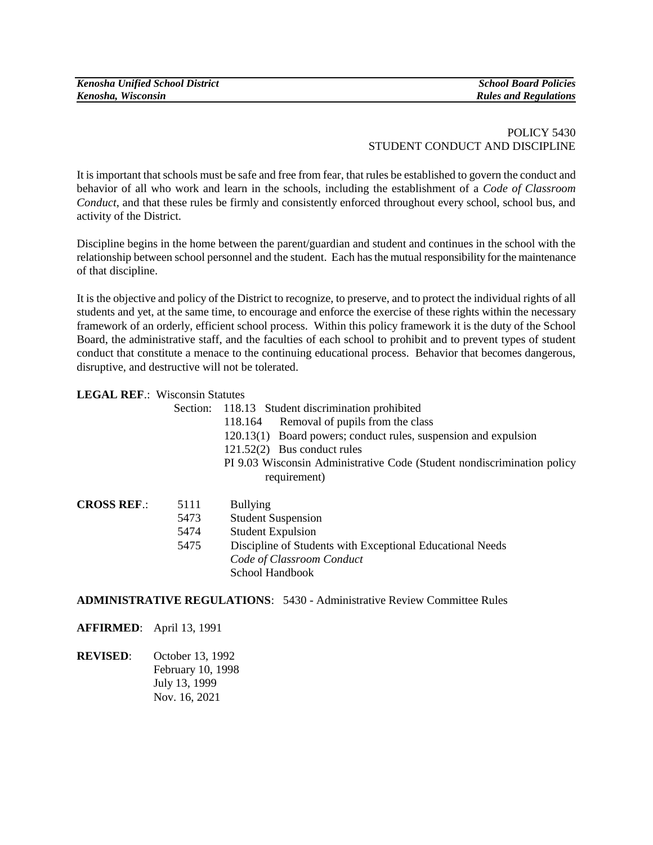## POLICY 5430 STUDENT CONDUCT AND DISCIPLINE

It is important that schools must be safe and free from fear, that rules be established to govern the conduct and behavior of all who work and learn in the schools, including the establishment of a *Code of Classroom Conduct*, and that these rules be firmly and consistently enforced throughout every school, school bus, and activity of the District.

Discipline begins in the home between the parent/guardian and student and continues in the school with the relationship between school personnel and the student. Each has the mutual responsibility for the maintenance of that discipline.

It is the objective and policy of the District to recognize, to preserve, and to protect the individual rights of all students and yet, at the same time, to encourage and enforce the exercise of these rights within the necessary framework of an orderly, efficient school process. Within this policy framework it is the duty of the School Board, the administrative staff, and the faculties of each school to prohibit and to prevent types of student conduct that constitute a menace to the continuing educational process. Behavior that becomes dangerous, disruptive, and destructive will not be tolerated.

## **LEGAL REF**.: Wisconsin Statutes

 Section: 118.13 Student discrimination prohibited 118.164 Removal of pupils from the class 120.13(1) Board powers; conduct rules, suspension and expulsion 121.52(2) Bus conduct rules PI 9.03 Wisconsin Administrative Code (Student nondiscrimination policy requirement)

| <b>CROSS REF.:</b> | 5111 | <b>Bullying</b>                                           |
|--------------------|------|-----------------------------------------------------------|
|                    | 5473 | <b>Student Suspension</b>                                 |
|                    | 5474 | <b>Student Expulsion</b>                                  |
|                    | 5475 | Discipline of Students with Exceptional Educational Needs |
|                    |      | Code of Classroom Conduct                                 |
|                    |      | School Handbook                                           |

**ADMINISTRATIVE REGULATIONS**: 5430 - Administrative Review Committee Rules

**AFFIRMED**: April 13, 1991

**REVISED**: October 13, 1992 February 10, 1998 July 13, 1999 Nov. 16, 2021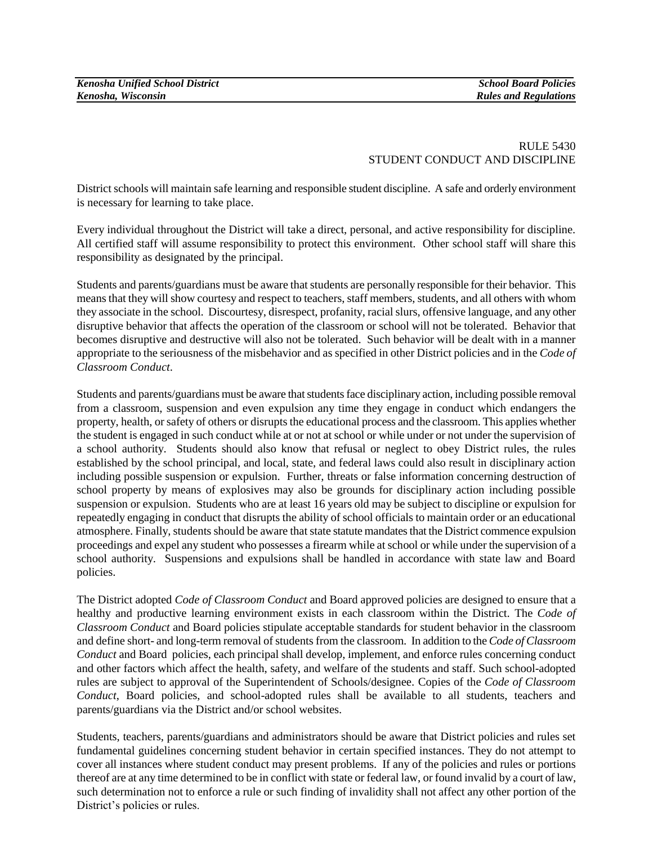## RULE 5430 STUDENT CONDUCT AND DISCIPLINE

District schools will maintain safe learning and responsible student discipline. A safe and orderly environment is necessary for learning to take place.

Every individual throughout the District will take a direct, personal, and active responsibility for discipline. All certified staff will assume responsibility to protect this environment. Other school staff will share this responsibility as designated by the principal.

Students and parents/guardians must be aware that students are personally responsible for their behavior. This means that they will show courtesy and respect to teachers, staff members, students, and all others with whom they associate in the school. Discourtesy, disrespect, profanity, racial slurs, offensive language, and any other disruptive behavior that affects the operation of the classroom or school will not be tolerated. Behavior that becomes disruptive and destructive will also not be tolerated. Such behavior will be dealt with in a manner appropriate to the seriousness of the misbehavior and as specified in other District policies and in the *Code of Classroom Conduct*.

Students and parents/guardians must be aware that students face disciplinary action, including possible removal from a classroom, suspension and even expulsion any time they engage in conduct which endangers the property, health, or safety of others or disrupts the educational process and the classroom. This applies whether the student is engaged in such conduct while at or not at school or while under or not under the supervision of a school authority. Students should also know that refusal or neglect to obey District rules, the rules established by the school principal, and local, state, and federal laws could also result in disciplinary action including possible suspension or expulsion. Further, threats or false information concerning destruction of school property by means of explosives may also be grounds for disciplinary action including possible suspension or expulsion. Students who are at least 16 years old may be subject to discipline or expulsion for repeatedly engaging in conduct that disrupts the ability of school officials to maintain order or an educational atmosphere. Finally, students should be aware that state statute mandates that the District commence expulsion proceedings and expel any student who possesses a firearm while at school or while under the supervision of a school authority. Suspensions and expulsions shall be handled in accordance with state law and Board policies.

The District adopted *Code of Classroom Conduct* and Board approved policies are designed to ensure that a healthy and productive learning environment exists in each classroom within the District. The *Code of Classroom Conduct* and Board policies stipulate acceptable standards for student behavior in the classroom and define short- and long-term removal of students from the classroom. In addition to the *Code of Classroom Conduct* and Board policies, each principal shall develop, implement, and enforce rules concerning conduct and other factors which affect the health, safety, and welfare of the students and staff. Such school-adopted rules are subject to approval of the Superintendent of Schools/designee. Copies of the *Code of Classroom Conduct*, Board policies, and school-adopted rules shall be available to all students, teachers and parents/guardians via the District and/or school websites.

Students, teachers, parents/guardians and administrators should be aware that District policies and rules set fundamental guidelines concerning student behavior in certain specified instances. They do not attempt to cover all instances where student conduct may present problems. If any of the policies and rules or portions thereof are at any time determined to be in conflict with state or federal law, or found invalid by a court of law, such determination not to enforce a rule or such finding of invalidity shall not affect any other portion of the District's policies or rules.